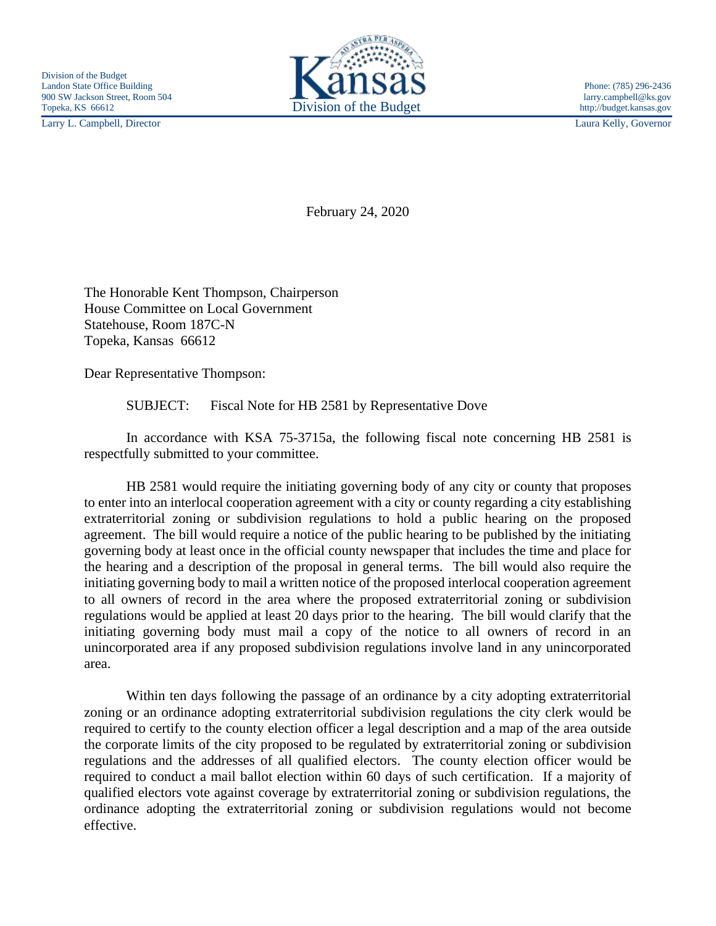Larry L. Campbell, Director Laura Kelly, Governor



February 24, 2020

The Honorable Kent Thompson, Chairperson House Committee on Local Government Statehouse, Room 187C-N Topeka, Kansas 66612

Dear Representative Thompson:

SUBJECT: Fiscal Note for HB 2581 by Representative Dove

In accordance with KSA 75-3715a, the following fiscal note concerning HB 2581 is respectfully submitted to your committee.

HB 2581 would require the initiating governing body of any city or county that proposes to enter into an interlocal cooperation agreement with a city or county regarding a city establishing extraterritorial zoning or subdivision regulations to hold a public hearing on the proposed agreement. The bill would require a notice of the public hearing to be published by the initiating governing body at least once in the official county newspaper that includes the time and place for the hearing and a description of the proposal in general terms. The bill would also require the initiating governing body to mail a written notice of the proposed interlocal cooperation agreement to all owners of record in the area where the proposed extraterritorial zoning or subdivision regulations would be applied at least 20 days prior to the hearing. The bill would clarify that the initiating governing body must mail a copy of the notice to all owners of record in an unincorporated area if any proposed subdivision regulations involve land in any unincorporated area.

Within ten days following the passage of an ordinance by a city adopting extraterritorial zoning or an ordinance adopting extraterritorial subdivision regulations the city clerk would be required to certify to the county election officer a legal description and a map of the area outside the corporate limits of the city proposed to be regulated by extraterritorial zoning or subdivision regulations and the addresses of all qualified electors. The county election officer would be required to conduct a mail ballot election within 60 days of such certification. If a majority of qualified electors vote against coverage by extraterritorial zoning or subdivision regulations, the ordinance adopting the extraterritorial zoning or subdivision regulations would not become effective.